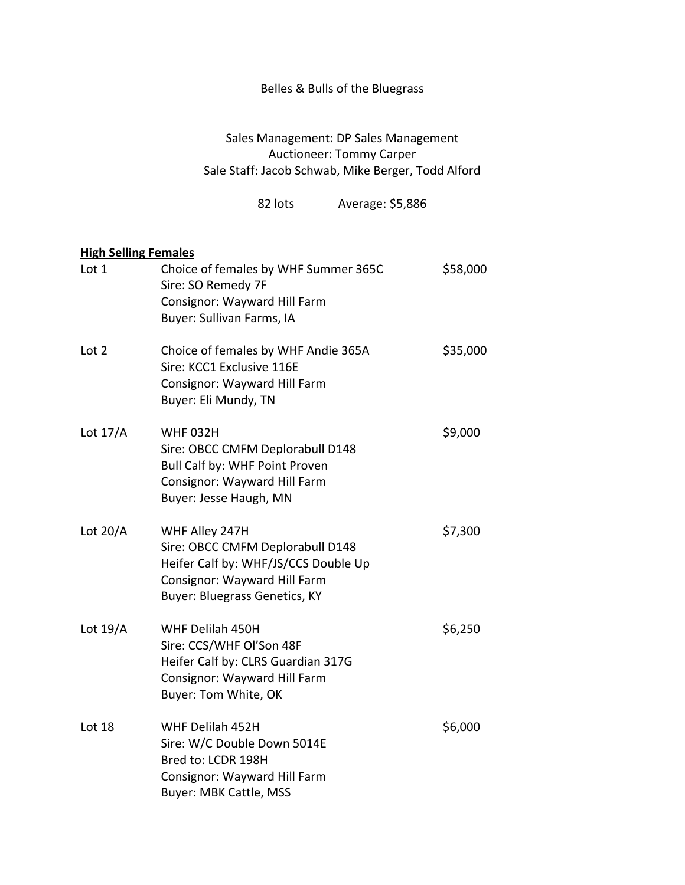## Belles & Bulls of the Bluegrass

Sales Management: DP Sales Management Auctioneer: Tommy Carper Sale Staff: Jacob Schwab, Mike Berger, Todd Alford

82 lots Average: \$5,886

## **High Selling Females**

| Lot 1      | Choice of females by WHF Summer 365C<br>Sire: SO Remedy 7F<br>Consignor: Wayward Hill Farm<br>Buyer: Sullivan Farms, IA                                     | \$58,000 |
|------------|-------------------------------------------------------------------------------------------------------------------------------------------------------------|----------|
| Lot 2      | Choice of females by WHF Andie 365A<br>Sire: KCC1 Exclusive 116E<br>Consignor: Wayward Hill Farm<br>Buyer: Eli Mundy, TN                                    | \$35,000 |
| Lot $17/A$ | <b>WHF 032H</b><br>Sire: OBCC CMFM Deplorabull D148<br>Bull Calf by: WHF Point Proven<br>Consignor: Wayward Hill Farm<br>Buyer: Jesse Haugh, MN             | \$9,000  |
| Lot $20/A$ | WHF Alley 247H<br>Sire: OBCC CMFM Deplorabull D148<br>Heifer Calf by: WHF/JS/CCS Double Up<br>Consignor: Wayward Hill Farm<br>Buyer: Bluegrass Genetics, KY | \$7,300  |
| Lot $19/A$ | WHF Delilah 450H<br>Sire: CCS/WHF Ol'Son 48F<br>Heifer Calf by: CLRS Guardian 317G<br>Consignor: Wayward Hill Farm<br>Buyer: Tom White, OK                  | \$6,250  |
| Lot 18     | WHF Delilah 452H<br>Sire: W/C Double Down 5014E<br>Bred to: LCDR 198H<br>Consignor: Wayward Hill Farm<br><b>Buyer: MBK Cattle, MSS</b>                      | \$6,000  |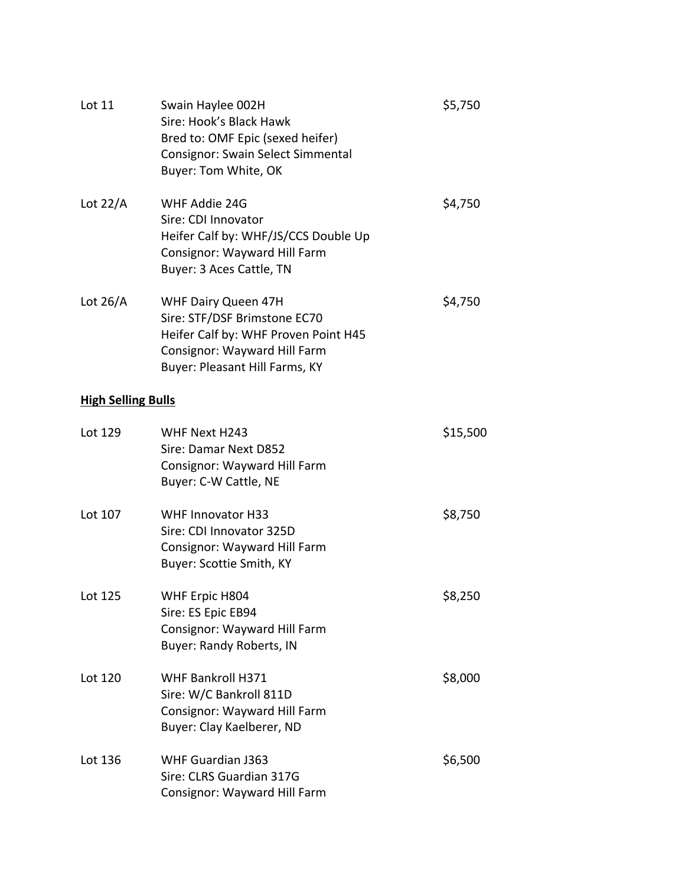| Lot 11                    | Swain Haylee 002H<br>Sire: Hook's Black Hawk<br>Bred to: OMF Epic (sexed heifer)<br>Consignor: Swain Select Simmental<br>Buyer: Tom White, OK                 | \$5,750  |  |  |
|---------------------------|---------------------------------------------------------------------------------------------------------------------------------------------------------------|----------|--|--|
| Lot $22/A$                | WHF Addie 24G<br>Sire: CDI Innovator<br>Heifer Calf by: WHF/JS/CCS Double Up<br>Consignor: Wayward Hill Farm<br>Buyer: 3 Aces Cattle, TN                      | \$4,750  |  |  |
| Lot $26/A$                | WHF Dairy Queen 47H<br>Sire: STF/DSF Brimstone EC70<br>Heifer Calf by: WHF Proven Point H45<br>Consignor: Wayward Hill Farm<br>Buyer: Pleasant Hill Farms, KY | \$4,750  |  |  |
| <b>High Selling Bulls</b> |                                                                                                                                                               |          |  |  |
| Lot 129                   | WHF Next H243<br>Sire: Damar Next D852<br>Consignor: Wayward Hill Farm<br>Buyer: C-W Cattle, NE                                                               | \$15,500 |  |  |
| Lot 107                   | <b>WHF Innovator H33</b><br>Sire: CDI Innovator 325D<br>Consignor: Wayward Hill Farm<br>Buyer: Scottie Smith, KY                                              | \$8,750  |  |  |
| Lot 125                   | WHF Erpic H804<br>Sire: ES Epic EB94<br>Consignor: Wayward Hill Farm<br><b>Buyer: Randy Roberts, IN</b>                                                       | \$8,250  |  |  |
| Lot 120                   | <b>WHF Bankroll H371</b><br>Sire: W/C Bankroll 811D<br>Consignor: Wayward Hill Farm<br>Buyer: Clay Kaelberer, ND                                              | \$8,000  |  |  |
| Lot 136                   | <b>WHF Guardian J363</b><br>Sire: CLRS Guardian 317G<br>Consignor: Wayward Hill Farm                                                                          | \$6,500  |  |  |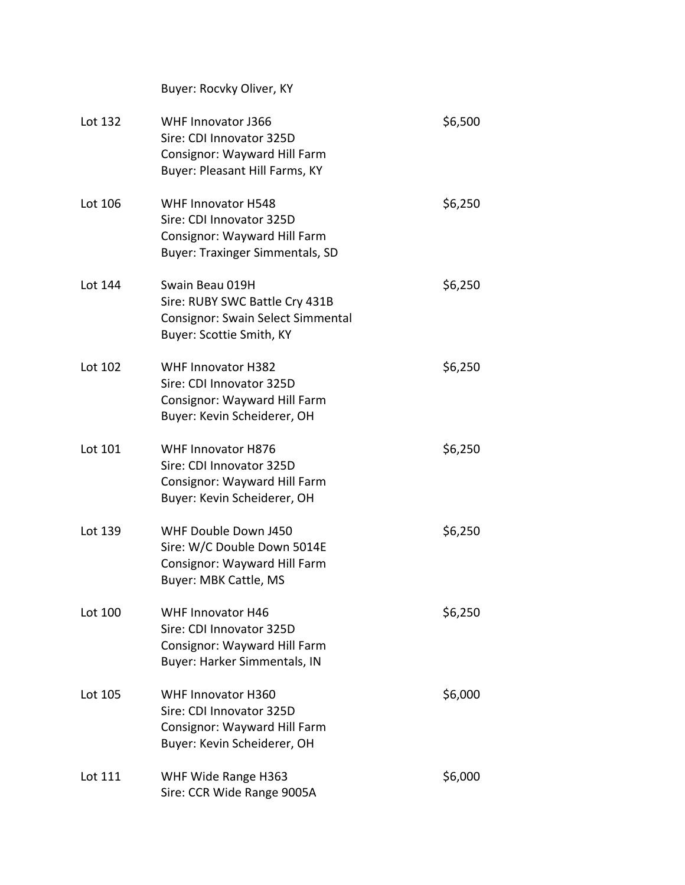|         | Buyer: Rocvky Oliver, KY                                                                                                        |         |
|---------|---------------------------------------------------------------------------------------------------------------------------------|---------|
| Lot 132 | <b>WHF Innovator J366</b><br>Sire: CDI Innovator 325D<br>Consignor: Wayward Hill Farm<br>Buyer: Pleasant Hill Farms, KY         | \$6,500 |
| Lot 106 | <b>WHF Innovator H548</b><br>Sire: CDI Innovator 325D<br>Consignor: Wayward Hill Farm<br><b>Buyer: Traxinger Simmentals, SD</b> | \$6,250 |
| Lot 144 | Swain Beau 019H<br>Sire: RUBY SWC Battle Cry 431B<br>Consignor: Swain Select Simmental<br>Buyer: Scottie Smith, KY              | \$6,250 |
| Lot 102 | <b>WHF Innovator H382</b><br>Sire: CDI Innovator 325D<br>Consignor: Wayward Hill Farm<br>Buyer: Kevin Scheiderer, OH            | \$6,250 |
| Lot 101 | <b>WHF Innovator H876</b><br>Sire: CDI Innovator 325D<br>Consignor: Wayward Hill Farm<br>Buyer: Kevin Scheiderer, OH            | \$6,250 |
| Lot 139 | WHF Double Down J450<br>Sire: W/C Double Down 5014E<br>Consignor: Wayward Hill Farm<br><b>Buyer: MBK Cattle, MS</b>             | \$6,250 |
| Lot 100 | <b>WHF Innovator H46</b><br>Sire: CDI Innovator 325D<br>Consignor: Wayward Hill Farm<br>Buyer: Harker Simmentals, IN            | \$6,250 |
| Lot 105 | <b>WHF Innovator H360</b><br>Sire: CDI Innovator 325D<br>Consignor: Wayward Hill Farm<br>Buyer: Kevin Scheiderer, OH            | \$6,000 |
| Lot 111 | WHF Wide Range H363<br>Sire: CCR Wide Range 9005A                                                                               | \$6,000 |